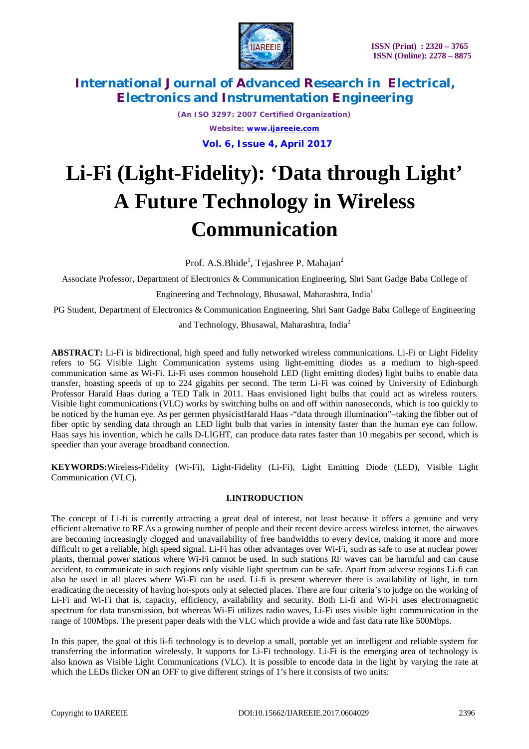

*(An ISO 3297: 2007 Certified Organization) Website: [www.ijareeie.com](http://www.ijareeie.com)*  **Vol. 6, Issue 4, April 2017**

# **Li-Fi (Light-Fidelity): 'Data through Light' A Future Technology in Wireless Communication**

Prof. A.S.Bhide<sup>1</sup>, Tejashree P. Mahajan<sup>2</sup>

Associate Professor, Department of Electronics & Communication Engineering, Shri Sant Gadge Baba College of

Engineering and Technology, Bhusawal, Maharashtra, India<sup>1</sup>

PG Student, Department of Electronics & Communication Engineering, Shri Sant Gadge Baba College of Engineering

and Technology, Bhusawal, Maharashtra, India<sup>2</sup>

**ABSTRACT:** Li-Fi is bidirectional, high speed and fully networked wireless communications. Li-Fi or Light Fidelity refers to 5G Visible Light Communication systems using light-emitting diodes as a medium to high-speed communication same as Wi-Fi. Li-Fi uses common household LED (light emitting diodes) light bulbs to enable data transfer, boasting speeds of up to 224 gigabits per second. The term Li-Fi was coined by University of Edinburgh Professor Harald Haas during a TED Talk in 2011. Haas envisioned light bulbs that could act as wireless routers. Visible light communications (VLC) works by switching bulbs on and off within nanoseconds, which is too quickly to be noticed by the human eye. As per germen physicistHarald Haas -"data through illumination"–taking the fibber out of fiber optic by sending data through an LED light bulb that varies in intensity faster than the human eye can follow. Haas says his invention, which he calls D-LIGHT, can produce data rates faster than 10 megabits per second, which is speedier than your average broadband connection.

**KEYWORDS:**Wireless-Fidelity (Wi-Fi), Light-Fidelity (Li-Fi), Light Emitting Diode (LED), Visible Light Communication (VLC).

# **I.INTRODUCTION**

The concept of Li-fi is currently attracting a great deal of interest, not least because it offers a genuine and very efficient alternative to RF.As a growing number of people and their recent device access wireless internet, the airwaves are becoming increasingly clogged and unavailability of free bandwidths to every device, making it more and more difficult to get a reliable, high speed signal. Li-Fi has other advantages over Wi-Fi, such as safe to use at nuclear power plants, thermal power stations where Wi-Fi cannot be used. In such stations RF waves can be harmful and can cause accident, to communicate in such regions only visible light spectrum can be safe. Apart from adverse regions Li-fi can also be used in all places where Wi-Fi can be used. Li-fi is present wherever there is availability of light, in turn eradicating the necessity of having hot-spots only at selected places. There are four criteria's to judge on the working of Li-Fi and Wi-Fi that is, capacity, efficiency, availability and security. Both Li-fi and Wi-Fi uses electromagnetic spectrum for data transmission, but whereas Wi-Fi utilizes radio waves, Li-Fi uses visible light communication in the range of 100Mbps. The present paper deals with the VLC which provide a wide and fast data rate like 500Mbps.

In this paper, the goal of this li-fi technology is to develop a small, portable yet an intelligent and reliable system for transferring the information wirelessly. It supports for Li-Fi technology. Li-Fi is the emerging area of technology is also known as Visible Light Communications (VLC). It is possible to encode data in the light by varying the rate at which the LEDs flicker ON an OFF to give different strings of 1's here it consists of two units: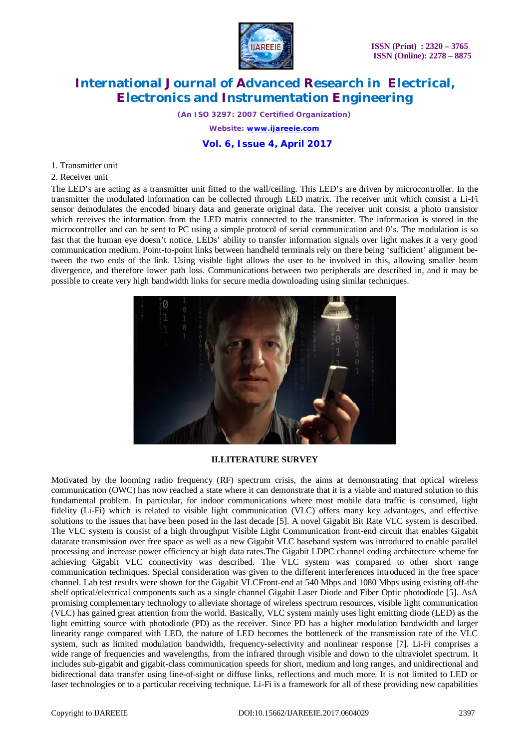

*(An ISO 3297: 2007 Certified Organization) Website: [www.ijareeie.com](http://www.ijareeie.com)*  **Vol. 6, Issue 4, April 2017**

#### 1. Transmitter unit

2. Receiver unit

The LED's are acting as a transmitter unit fitted to the wall/ceiling. This LED's are driven by microcontroller. In the transmitter the modulated information can be collected through LED matrix. The receiver unit which consist a Li-Fi sensor demodulates the encoded binary data and generate original data. The receiver unit consist a photo transistor which receives the information from the LED matrix connected to the transmitter. The information is stored in the microcontroller and can be sent to PC using a simple protocol of serial communication and 0's. The modulation is so fast that the human eye doesn't notice. LEDs' ability to transfer information signals over light makes it a very good communication medium. Point-to-point links between handheld terminals rely on there being 'sufficient' alignment between the two ends of the link. Using visible light allows the user to be involved in this, allowing smaller beam divergence, and therefore lower path loss. Communications between two peripherals are described in, and it may be possible to create very high bandwidth links for secure media downloading using similar techniques.



## **II.LITERATURE SURVEY**

Motivated by the looming radio frequency (RF) spectrum crisis, the aims at demonstrating that optical wireless communication (OWC) has now reached a state where it can demonstrate that it is a viable and matured solution to this fundamental problem. In particular, for indoor communications where most mobile data traffic is consumed, light fidelity (Li-Fi) which is related to visible light communication (VLC) offers many key advantages, and effective solutions to the issues that have been posed in the last decade [5]. A novel Gigabit Bit Rate VLC system is described. The VLC system is consist of a high throughput Visible Light Communication front-end circuit that enables Gigabit datarate transmission over free space as well as a new Gigabit VLC baseband system was introduced to enable parallel processing and increase power efficiency at high data rates.The Gigabit LDPC channel coding architecture scheme for achieving Gigabit VLC connectivity was described. The VLC system was compared to other short range communication techniques. Special consideration was given to the different interferences introduced in the free space channel. Lab test results were shown for the Gigabit VLCFront-end at 540 Mbps and 1080 Mbps using existing off-the shelf optical/electrical components such as a single channel Gigabit Laser Diode and Fiber Optic photodiode [5]. AsA promising complementary technology to alleviate shortage of wireless spectrum resources, visible light communication (VLC) has gained great attention from the world. Basically, VLC system mainly uses light emitting diode (LED) as the light emitting source with photodiode (PD) as the receiver. Since PD has a higher modulation bandwidth and larger linearity range compared with LED, the nature of LED becomes the bottleneck of the transmission rate of the VLC system, such as limited modulation bandwidth, frequency-selectivity and nonlinear response [7]. Li-Fi comprises a wide range of frequencies and wavelengths, from the infrared through visible and down to the ultraviolet spectrum. It includes sub-gigabit and gigabit-class communication speeds for short, medium and long ranges, and unidirectional and bidirectional data transfer using line-of-sight or diffuse links, reflections and much more. It is not limited to LED or laser technologies or to a particular receiving technique. Li-Fi is a framework for all of these providing new capabilities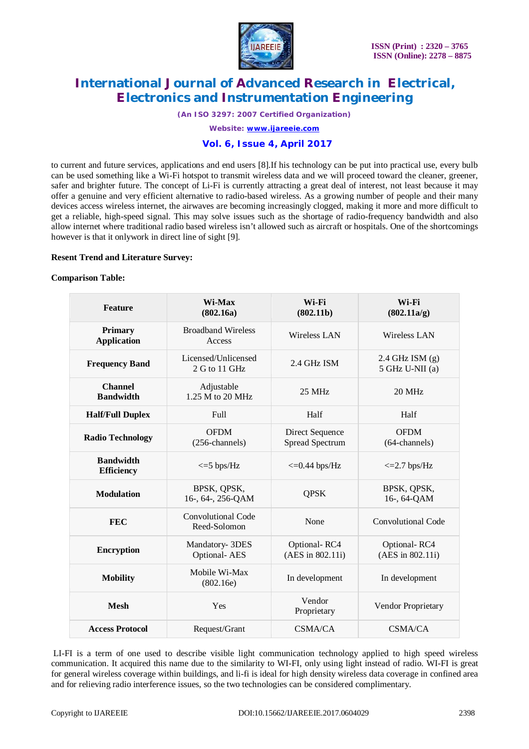

*(An ISO 3297: 2007 Certified Organization)*

*Website: [www.ijareeie.com](http://www.ijareeie.com)*

## **Vol. 6, Issue 4, April 2017**

to current and future services, applications and end users [8].If his technology can be put into practical use, every bulb can be used something like a Wi-Fi hotspot to transmit wireless data and we will proceed toward the cleaner, greener, safer and brighter future. The concept of Li-Fi is currently attracting a great deal of interest, not least because it may offer a genuine and very efficient alternative to radio-based wireless. As a growing number of people and their many devices access wireless internet, the airwaves are becoming increasingly clogged, making it more and more difficult to get a reliable, high-speed signal. This may solve issues such as the shortage of radio-frequency bandwidth and also allow internet where traditional radio based wireless isn't allowed such as aircraft or hospitals. One of the shortcomings however is that it onlywork in direct line of sight [9].

### **Resent Trend and Literature Survey:**

### **Comparison Table:**

| <b>Feature</b>                        | Wi-Max<br>(802.16a)                       | Wi-Fi<br>(802.11b)                        | Wi-Fi<br>(802.11a/g)                   |
|---------------------------------------|-------------------------------------------|-------------------------------------------|----------------------------------------|
| <b>Primary</b><br><b>Application</b>  | <b>Broadband Wireless</b><br>Access       | <b>Wireless LAN</b>                       | <b>Wireless LAN</b>                    |
| <b>Frequency Band</b>                 | Licensed/Unlicensed<br>2 G to 11 GHz      | 2.4 GHz ISM                               | $2.4$ GHz ISM $(g)$<br>5 GHz U-NII (a) |
| <b>Channel</b><br><b>Bandwidth</b>    | Adjustable<br>1.25 M to 20 MHz            | $25$ MHz                                  | $20$ MHz                               |
| <b>Half/Full Duplex</b>               | Full                                      | Half                                      | Half                                   |
| <b>Radio Technology</b>               | <b>OFDM</b><br>(256-channels)             | Direct Sequence<br><b>Spread Spectrum</b> | <b>OFDM</b><br>$(64$ -channels)        |
| <b>Bandwidth</b><br><b>Efficiency</b> | $\epsilon = 5$ bps/Hz                     | $\epsilon$ =0.44 bps/Hz                   | $\epsilon$ =2.7 bps/Hz                 |
| <b>Modulation</b>                     | BPSK, QPSK,<br>16-, 64-, 256-QAM          | <b>QPSK</b>                               | BPSK, QPSK,<br>16-, 64-QAM             |
| <b>FEC</b>                            | <b>Convolutional Code</b><br>Reed-Solomon | None                                      | Convolutional Code                     |
| <b>Encryption</b>                     | Mandatory-3DES<br><b>Optional-AES</b>     | Optional-RC4<br>(AES in 802.11i)          | Optional-RC4<br>(AES in 802.11i)       |
| <b>Mobility</b>                       | Mobile Wi-Max<br>(802.16e)                | In development                            | In development                         |
| <b>Mesh</b>                           | Yes                                       | Vendor<br>Proprietary                     | Vendor Proprietary                     |
| <b>Access Protocol</b>                | Request/Grant                             | <b>CSMA/CA</b>                            | <b>CSMA/CA</b>                         |

LI-FI is a term of one used to describe visible light communication technology applied to high speed wireless communication. It acquired this name due to the similarity to WI-FI, only using light instead of radio. WI-FI is great for general wireless coverage within buildings, and li-fi is ideal for high density wireless data coverage in confined area and for relieving radio interference issues, so the two technologies can be considered complimentary.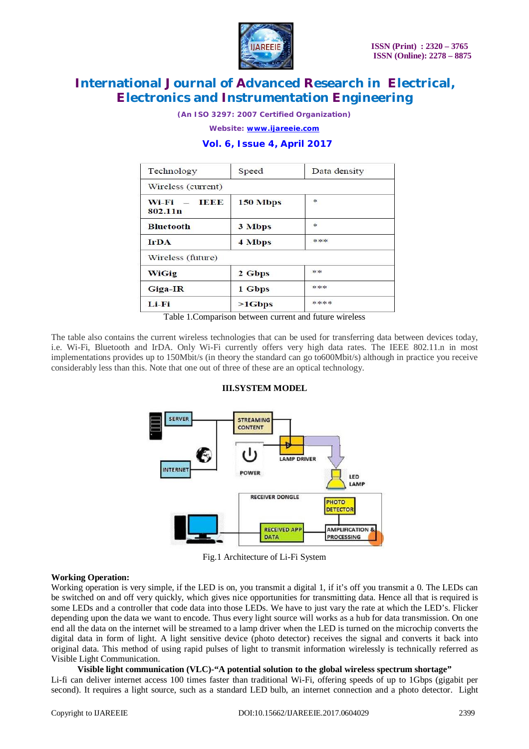

*(An ISO 3297: 2007 Certified Organization)*

*Website: [www.ijareeie.com](http://www.ijareeie.com)*

## **Vol. 6, Issue 4, April 2017**

| Technology                                       | Speed         | Data density    |
|--------------------------------------------------|---------------|-----------------|
| Wireless (current)                               |               |                 |
| <b>TERME</b><br>$Wi-Fi =$<br>802.11 <sub>n</sub> | 150 Mbps      | ∗               |
| <b>Bluetooth</b>                                 | 3 Mbps        | $\Rightarrow c$ |
| <b>IrDA</b>                                      | <b>4 Mbps</b> | ***             |
| Wireless (future)                                |               |                 |
| WiGig                                            | 2 Gbps        | **              |
| Giga-IR                                          | 1 Gbps        | ***             |
| Li-Fi                                            | $>1$ Gbps     | ****            |

Table 1.Comparison between current and future wireless

The table also contains the current wireless technologies that can be used for transferring data between devices today, i.e. Wi-Fi, Bluetooth and IrDA. Only Wi-Fi currently offers very high data rates. The IEEE 802.11.n in most implementations provides up to 150Mbit/s (in theory the standard can go to600Mbit/s) although in practice you receive considerably less than this. Note that one out of three of these are an optical technology.

## **III.SYSTEM MODEL**



Fig.1 Architecture of Li-Fi System

## **Working Operation:**

Working operation is very simple, if the LED is on, you transmit a digital 1, if it's off you transmit a 0. The LEDs can be switched on and off very quickly, which gives nice opportunities for transmitting data. Hence all that is required is some LEDs and a controller that code data into those LEDs. We have to just vary the rate at which the LED's. Flicker depending upon the data we want to encode. Thus every light source will works as a hub for data transmission. On one end all the data on the internet will be streamed to a lamp driver when the LED is turned on the microchip converts the digital data in form of light. A light sensitive device (photo detector) receives the signal and converts it back into original data. This method of using rapid pulses of light to transmit information wirelessly is technically referred as Visible Light Communication.

## **Visible light communication (VLC)-"A potential solution to the global wireless spectrum shortage"**

Li-fi can deliver internet access 100 times faster than traditional Wi-Fi, offering speeds of up to 1Gbps (gigabit per second). It requires a light source, such as a standard LED bulb, an internet connection and a photo detector. Light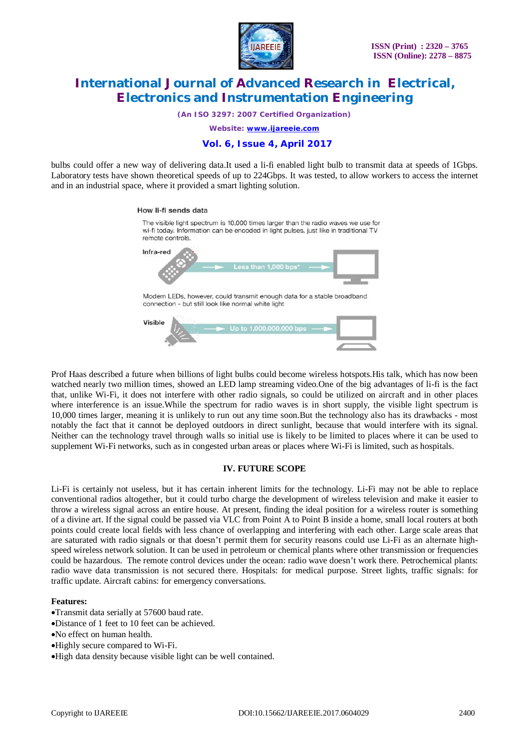

*(An ISO 3297: 2007 Certified Organization)*

*Website: [www.ijareeie.com](http://www.ijareeie.com)*

## **Vol. 6, Issue 4, April 2017**

bulbs could offer a new way of delivering data.It used a li-fi enabled light bulb to transmit data at speeds of 1Gbps. Laboratory tests have shown theoretical speeds of up to 224Gbps. It was tested, to allow workers to access the internet and in an industrial space, where it provided a smart lighting solution.

#### How li-fi sends data



Prof Haas described a future when billions of light bulbs could become wireless hotspots.His talk, which has now been watched nearly two million times, showed an LED lamp streaming video.One of the big advantages of li-fi is the fact that, unlike Wi-Fi, it does not interfere with other radio signals, so could be utilized on aircraft and in other places where interference is an issue. While the spectrum for radio waves is in short supply, the visible light spectrum is 10,000 times larger, meaning it is unlikely to run out any time soon.But the technology also has its drawbacks - most notably the fact that it cannot be deployed outdoors in direct sunlight, because that would interfere with its signal. Neither can the technology travel through walls so initial use is likely to be limited to places where it can be used to supplement Wi-Fi networks, such as in congested urban areas or places where Wi-Fi is limited, such as hospitals.

#### **IV. FUTURE SCOPE**

Li-Fi is certainly not useless, but it has certain inherent limits for the technology. Li-Fi may not be able to replace conventional radios altogether, but it could turbo charge the development of wireless television and make it easier to throw a wireless signal across an entire house. At present, finding the ideal position for a wireless router is something of a divine art. If the signal could be passed via VLC from Point A to Point B inside a home, small local routers at both points could create local fields with less chance of overlapping and interfering with each other. Large scale areas that are saturated with radio signals or that doesn't permit them for security reasons could use Li-Fi as an alternate highspeed wireless network solution. It can be used in petroleum or chemical plants where other transmission or frequencies could be hazardous. The remote control devices under the ocean: radio wave doesn't work there. Petrochemical plants: radio wave data transmission is not secured there. Hospitals: for medical purpose. Street lights, traffic signals: for traffic update. Aircraft cabins: for emergency conversations.

#### **Features:**

- Transmit data serially at 57600 baud rate.
- Distance of 1 feet to 10 feet can be achieved.
- No effect on human health.
- Highly secure compared to Wi-Fi.
- High data density because visible light can be well contained.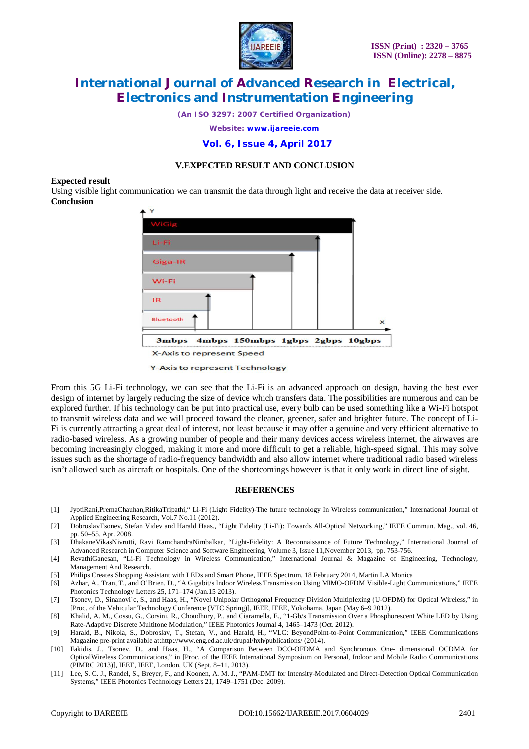

*(An ISO 3297: 2007 Certified Organization)*

*Website: [www.ijareeie.com](http://www.ijareeie.com)*

 **Vol. 6, Issue 4, April 2017**

## **V.EXPECTED RESULT AND CONCLUSION**

#### **Expected result**

Using visible light communication we can transmit the data through light and receive the data at receiver side. **Conclusion**



**Y-Axis to represent Technology** 

From this 5G Li-Fi technology, we can see that the Li-Fi is an advanced approach on design, having the best ever design of internet by largely reducing the size of device which transfers data. The possibilities are numerous and can be explored further. If his technology can be put into practical use, every bulb can be used something like a Wi-Fi hotspot to transmit wireless data and we will proceed toward the cleaner, greener, safer and brighter future. The concept of Li-Fi is currently attracting a great deal of interest, not least because it may offer a genuine and very efficient alternative to radio-based wireless. As a growing number of people and their many devices access wireless internet, the airwaves are becoming increasingly clogged, making it more and more difficult to get a reliable, high-speed signal. This may solve issues such as the shortage of radio-frequency bandwidth and also allow internet where traditional radio based wireless isn't allowed such as aircraft or hospitals. One of the shortcomings however is that it only work in direct line of sight.

#### **REFERENCES**

- [1] JyotiRani,PrernaChauhan,RitikaTripathi," Li-Fi (Light Fidelity)-The future technology In Wireless communication," International Journal of Applied Engineering Research, Vol.7 No.11 (2012).
- [2] DobroslavTsonev, Stefan Videv and Harald Haas., "Light Fidelity (Li-Fi): Towards All-Optical Networking," IEEE Commun. Mag., vol. 46, pp. 50–55, Apr. 2008.
- [3] DhakaneVikasNivrutti, Ravi RamchandraNimbalkar, "Light-Fidelity: A Reconnaissance of Future Technology," International Journal of Advanced Research in Computer Science and Software Engineering, Volume 3, Issue 11,November 2013, pp. 753-756.
- [4] RevathiGanesan, "Li-Fi Technology in Wireless Communication," International Journal & Magazine of Engineering, Technology, Management And Research.
- [5] Philips Creates Shopping Assistant with LEDs and Smart Phone, IEEE Spectrum, 18 February 2014, Martin LA Monica
- [6] Azhar, A., Tran, T., and O'Brien, D., "A Gigabit/s Indoor Wireless Transmission Using MIMO-OFDM Visible-Light Communications," IEEE Photonics Technology Letters 25, 171–174 (Jan.15 2013).
- [7] Tsonev, D., Sinanovi´c, S., and Haas, H., "Novel Unipolar Orthogonal Frequency Division Multiplexing (U-OFDM) for Optical Wireless," in [Proc. of the Vehicular Technology Conference (VTC Spring)], IEEE, IEEE, Yokohama, Japan (May 6–9 2012).
- [8] Khalid, A. M., Cossu, G., Corsini, R., Choudhury, P., and Ciaramella, E., "1-Gb/s Transmission Over a Phosphorescent White LED by Using Rate-Adaptive Discrete Multitone Modulation," IEEE Photonics Journal 4, 1465–1473 (Oct. 2012).
- [9] Harald, B., Nikola, S., Dobroslav, T., Stefan, V., and Harald, H., "VLC: BeyondPoint-to-Point Communication," IEEE Communications Magazine pre-print available at[:http://www.eng.ed.ac.uk/drupal/hxh/publications/](http://www.eng.ed.ac.uk/drupal/hxh/publications/) (2014).
- [10] Fakidis, J., Tsonev, D., and Haas, H., "A Comparison Between DCO-OFDMA and Synchronous One- dimensional OCDMA for OpticalWireless Communications," in [Proc. of the IEEE International Symposium on Personal, Indoor and Mobile Radio Communications (PIMRC 2013)], IEEE, IEEE, London, UK (Sept. 8–11, 2013).
- [11] Lee, S. C. J., Randel, S., Breyer, F., and Koonen, A. M. J., "PAM-DMT for Intensity-Modulated and Direct-Detection Optical Communication Systems," IEEE Photonics Technology Letters 21, 1749–1751 (Dec. 2009).